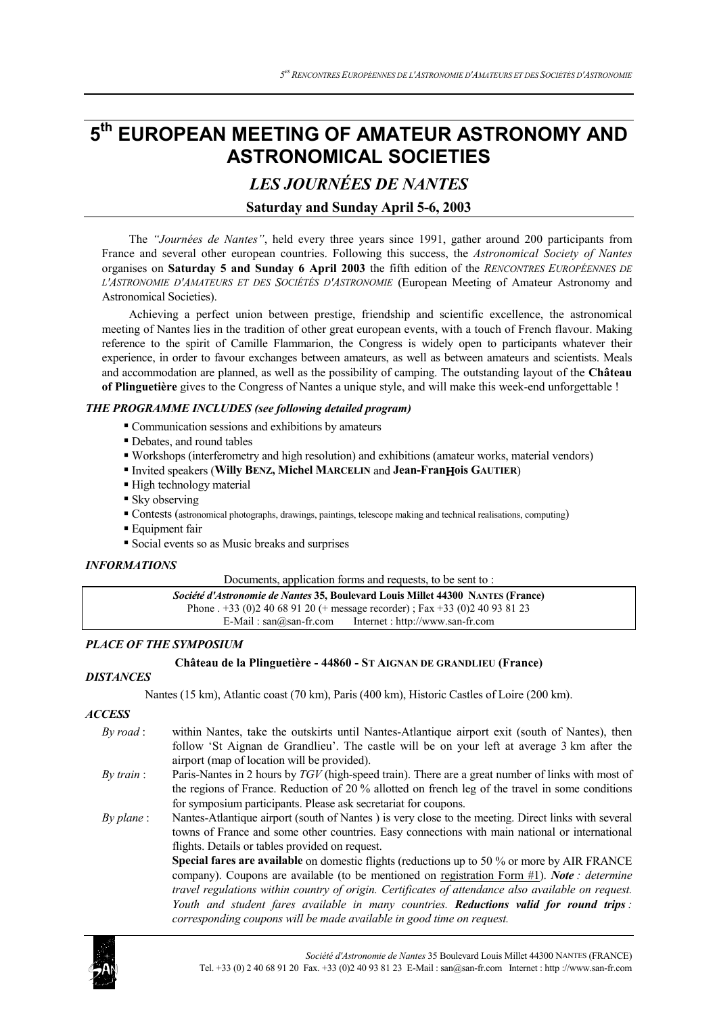# **5th EUROPEAN MEETING OF AMATEUR ASTRONOMY AND ASTRONOMICAL SOCIETIES**

*LES JOURNÉES DE NANTES*

# **Saturday and Sunday April 5-6, 2003**

The *"Journées de Nantes"*, held every three years since 1991, gather around 200 participants from France and several other european countries. Following this success, the *Astronomical Society of Nantes* organises on **Saturday 5 and Sunday 6 April 2003** the fifth edition of the *RENCONTRES EUROPÉENNES DE L'ASTRONOMIE D'AMATEURS ET DES SOCIÉTÉS D'ASTRONOMIE* (European Meeting of Amateur Astronomy and Astronomical Societies).

Achieving a perfect union between prestige, friendship and scientific excellence, the astronomical meeting of Nantes lies in the tradition of other great european events, with a touch of French flavour. Making reference to the spirit of Camille Flammarion, the Congress is widely open to participants whatever their experience, in order to favour exchanges between amateurs, as well as between amateurs and scientists. Meals and accommodation are planned, as well as the possibility of camping. The outstanding layout of the **Château of Plinguetière** gives to the Congress of Nantes a unique style, and will make this week-end unforgettable !

# *THE PROGRAMME INCLUDES (see following detailed program)*

- Communication sessions and exhibitions by amateurs
- Debates, and round tables
- Workshops (interferometry and high resolution) and exhibitions (amateur works, material vendors)
- Invited speakers (**Willy BENZ, Michel MARCELIN** and **Jean-Fran**Η**ois GAUTIER**)
- High technology material
- **Sky** observing
- Contests (astronomical photographs, drawings, paintings, telescope making and technical realisations, computing)
- **Equipment fair**
- Social events so as Music breaks and surprises

# *INFORMATIONS*

Documents, application forms and requests, to be sent to:

| <i>Société d'Astronomie de Nantes</i> 35, Boulevard Louis Millet 44300 NANTES (France) |  |
|----------------------------------------------------------------------------------------|--|
| Phone $. +33$ (0)2 40 68 91 20 (+ message recorder); Fax +33 (0)2 40 93 81 23          |  |
| Internet : http://www.san-fr.com<br>E-Mail: $san@san-fr.com$                           |  |

# *PLACE OF THE SYMPOSIUM*

# **Château de la Plinguetière - 44860 - ST AIGNAN DE GRANDLIEU (France)**

# *DISTANCES*

Nantes (15 km), Atlantic coast (70 km), Paris (400 km), Historic Castles of Loire (200 km).

# *ACCESS*

- *By road* : within Nantes, take the outskirts until Nantes-Atlantique airport exit (south of Nantes), then follow 'St Aignan de Grandlieu'. The castle will be on your left at average 3 km after the airport (map of location will be provided).
- *By train* : Paris-Nantes in 2 hours by *TGV* (high-speed train). There are a great number of links with most of the regions of France. Reduction of 20 % allotted on french leg of the travel in some conditions for symposium participants. Please ask secretariat for coupons.
- *By plane* : Nantes-Atlantique airport (south of Nantes ) is very close to the meeting. Direct links with several towns of France and some other countries. Easy connections with main national or international flights. Details or tables provided on request.

**Special fares are available** on domestic flights (reductions up to 50 % or more by AIR FRANCE company). Coupons are available (to be mentioned on registration Form #1). *Note : determine travel regulations within country of origin. Certificates of attendance also available on request. Youth and student fares available in many countries. Reductions valid for round trips : corresponding coupons will be made available in good time on request.*

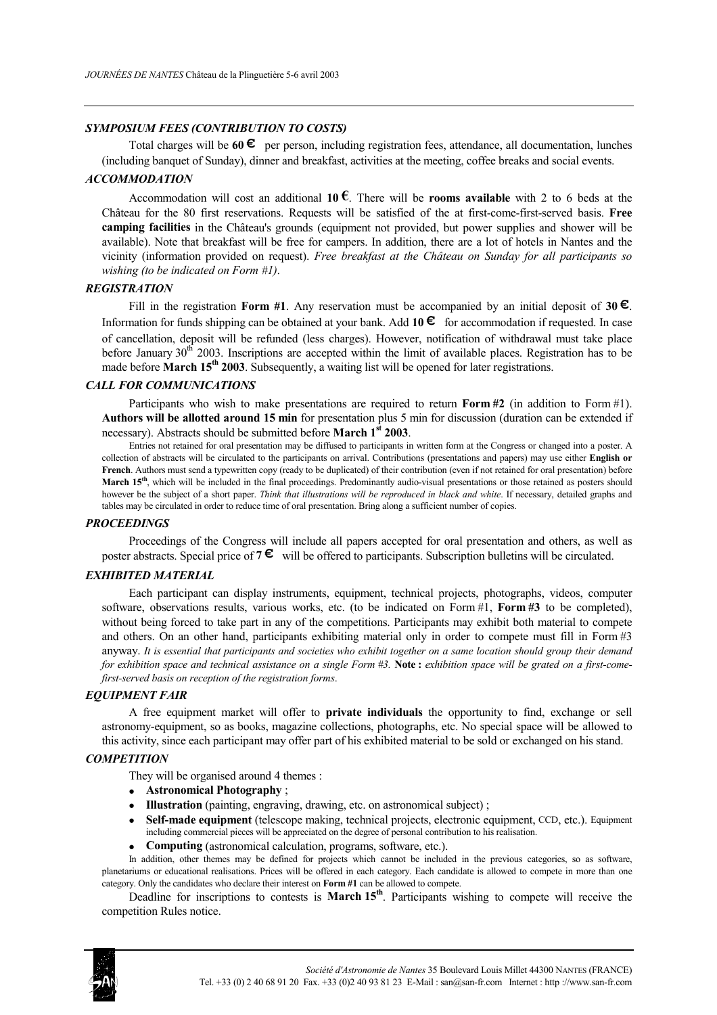# *SYMPOSIUM FEES (CONTRIBUTION TO COSTS)*

Total charges will be **60 €** per person, including registration fees, attendance, all documentation, lunches (including banquet of Sunday), dinner and breakfast, activities at the meeting, coffee breaks and social events.

#### *ACCOMMODATION*

Accommodation will cost an additional **10**  $\epsilon$ . There will be **rooms available** with 2 to 6 beds at the Château for the 80 first reservations. Requests will be satisfied of the at first-come-first-served basis. **Free camping facilities** in the Château's grounds (equipment not provided, but power supplies and shower will be available). Note that breakfast will be free for campers. In addition, there are a lot of hotels in Nantes and the vicinity (information provided on request). *Free breakfast at the Château on Sunday for all participants so wishing (to be indicated on Form #1)*.

# *REGISTRATION*

Fill in the registration **Form #1**. Any reservation must be accompanied by an initial deposit of **30 €**. Information for funds shipping can be obtained at your bank. Add **10 €** for accommodation if requested. In case of cancellation, deposit will be refunded (less charges). However, notification of withdrawal must take place before January 30<sup>th</sup> 2003. Inscriptions are accepted within the limit of available places. Registration has to be made before **March 15<sup>th</sup> 2003**. Subsequently, a waiting list will be opened for later registrations.

# *CALL FOR COMMUNICATIONS*

Participants who wish to make presentations are required to return **Form #2** (in addition to Form #1). **Authors will be allotted around 15 min** for presentation plus 5 min for discussion (duration can be extended if necessary). Abstracts should be submitted before **March 1st 2003**.

Entries not retained for oral presentation may be diffused to participants in written form at the Congress or changed into a poster. A collection of abstracts will be circulated to the participants on arrival. Contributions (presentations and papers) may use either **English or French**. Authors must send a typewritten copy (ready to be duplicated) of their contribution (even if not retained for oral presentation) before **March 15<sup>th</sup>**, which will be included in the final proceedings. Predominantly audio-visual presentations or those retained as posters should however be the subject of a short paper. *Think that illustrations will be reproduced in black and white*. If necessary, detailed graphs and tables may be circulated in order to reduce time of oral presentation. Bring along a sufficient number of copies.

#### *PROCEEDINGS*

Proceedings of the Congress will include all papers accepted for oral presentation and others, as well as poster abstracts. Special price of **7 €** will be offered to participants. Subscription bulletins will be circulated.

# *EXHIBITED MATERIAL*

Each participant can display instruments, equipment, technical projects, photographs, videos, computer software, observations results, various works, etc. (to be indicated on Form #1, **Form #3** to be completed), without being forced to take part in any of the competitions. Participants may exhibit both material to compete and others. On an other hand, participants exhibiting material only in order to compete must fill in Form #3 anyway. *It is essential that participants and societies who exhibit together on a same location should group their demand for exhibition space and technical assistance on a single Form #3.* **Note :** *exhibition space will be grated on a first-comefirst-served basis on reception of the registration forms*.

#### *EQUIPMENT FAIR*

A free equipment market will offer to **private individuals** the opportunity to find, exchange or sell astronomy-equipment, so as books, magazine collections, photographs, etc. No special space will be allowed to this activity, since each participant may offer part of his exhibited material to be sold or exchanged on his stand.

### *COMPETITION*

They will be organised around 4 themes :

- **Astronomical Photography** ;
- **Illustration** (painting, engraving, drawing, etc. on astronomical subject) ;
- **Self-made equipment** (telescope making, technical projects, electronic equipment, CCD, etc.). Equipment including commercial pieces will be appreciated on the degree of personal contribution to his realisation.
- **Computing** (astronomical calculation, programs, software, etc.).

In addition, other themes may be defined for projects which cannot be included in the previous categories, so as software, planetariums or educational realisations. Prices will be offered in each category. Each candidate is allowed to compete in more than one category. Only the candidates who declare their interest on **Form #1** can be allowed to compete.

Deadline for inscriptions to contests is **March 15<sup>th</sup>**. Participants wishing to compete will receive the competition Rules notice.

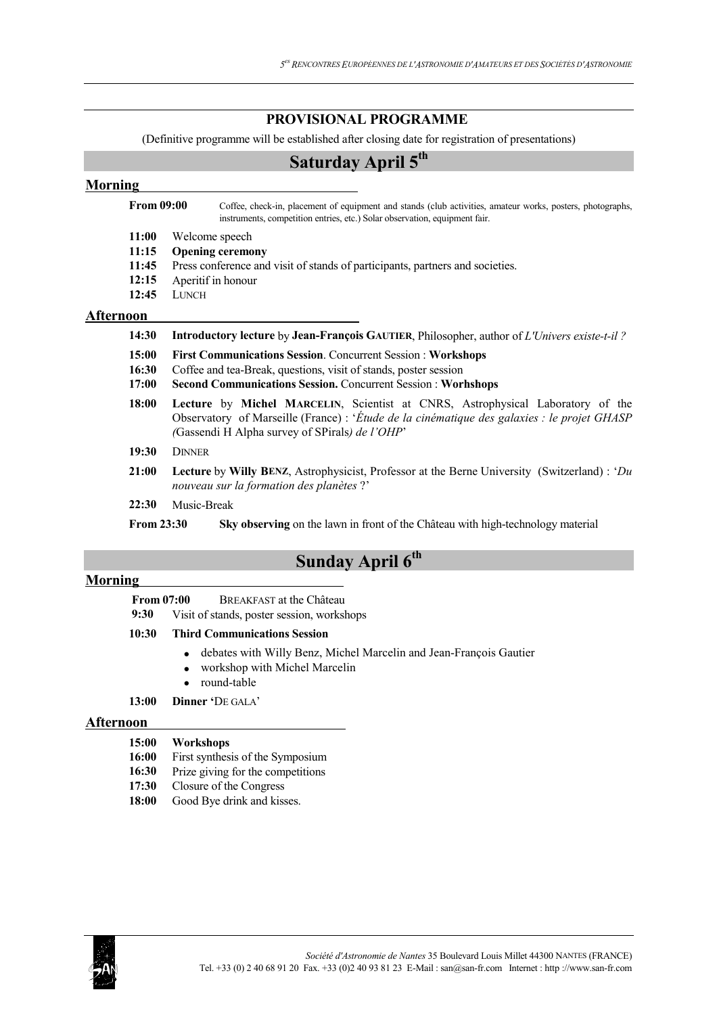# **PROVISIONAL PROGRAMME**

(Definitive programme will be established after closing date for registration of presentations)

# **Saturday April 5<sup>th</sup>**

# **Morning From 09:00** Coffee, check-in, placement of equipment and stands (club activities, amateur works, posters, photographs, instruments, competition entries, etc.) Solar observation, equipment fair. **11:00** Welcome speech **11:15 Opening ceremony 11:45** Press conference and visit of stands of participants, partners and societies. **12:15** Aperitif in honour **12:45** LUNCH **Afternoon 14:30 Introductory lecture** by **Jean-François GAUTIER**, Philosopher, author of *L'Univers existe-t-il ?* **15:00 First Communications Session**. Concurrent Session : **Workshops 16:30** Coffee and tea-Break, questions, visit of stands, poster session **17:00 Second Communications Session.** Concurrent Session : **Worhshops 18:00 Lecture** by **Michel MARCELIN**, Scientist at CNRS, Astrophysical Laboratory of the Observatory of Marseille (France) : '*Étude de la cinématique des galaxies : le projet GHASP (*Gassendi H Alpha survey of SPirals*) de l'OHP*' **19:30** DINNER **21:00 Lecture** by **Willy BENZ**, Astrophysicist, Professor at the Berne University (Switzerland) : '*Du nouveau sur la formation des planètes* ?' **22:30** Music-Break

**From 23:30 Sky observing** on the lawn in front of the Château with high-technology material

# **Sunday April 6th**

# **Morning**

**From 07:00** BREAKFAST at the Château

**9:30** Visit of stands, poster session, workshops

# **10:30 Third Communications Session**

- debates with Willy Benz, Michel Marcelin and Jean-François Gautier
- workshop with Michel Marcelin
- round-table
- **13:00 Dinner '**DE GALA'

### **Afternoon**

- **16:00** First synthesis of the Symposium
- 16:30 Prize giving for the competitions
- **17:30** Closure of the Congress
- 18:00 Good Bye drink and kisses.

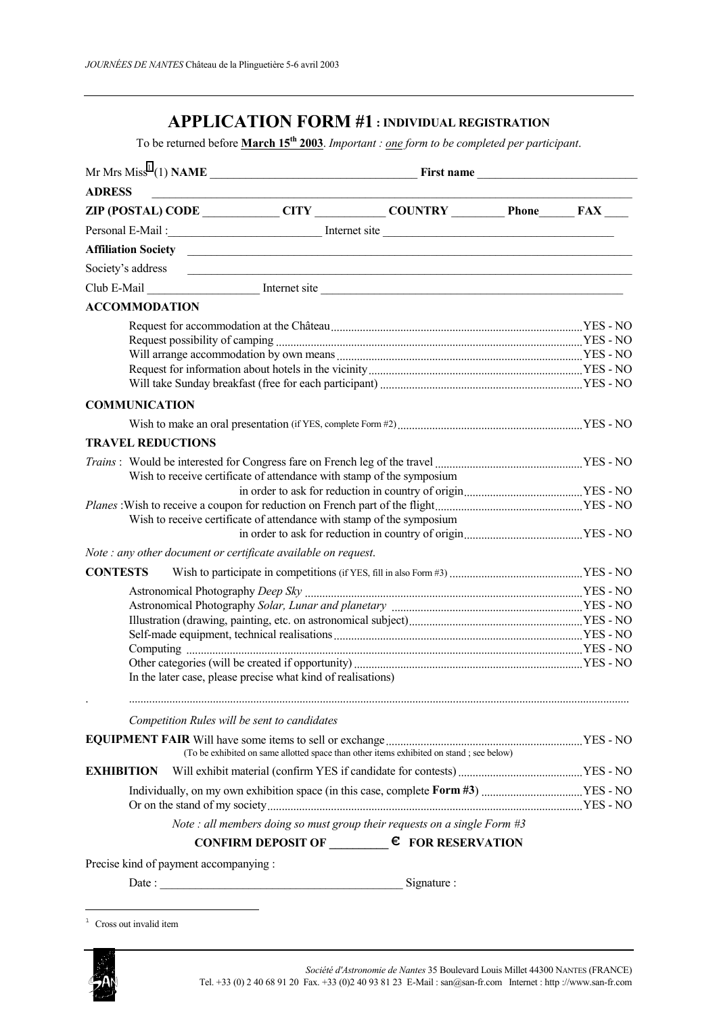# **APPLICATION FORM #1 : INDIVIDUAL REGISTRATION**

To be returned before **March 15th 2003**. *Important : one form to be completed per participant*.

| <b>ADRESS</b>            |  |                                                                |                                                                                                                                                                                                                                |  |  |  |  |
|--------------------------|--|----------------------------------------------------------------|--------------------------------------------------------------------------------------------------------------------------------------------------------------------------------------------------------------------------------|--|--|--|--|
|                          |  |                                                                | ZIP (POSTAL) CODE ____________CITY ___________COUNTRY __________ Phone_______ FAX ____                                                                                                                                         |  |  |  |  |
|                          |  |                                                                |                                                                                                                                                                                                                                |  |  |  |  |
|                          |  |                                                                |                                                                                                                                                                                                                                |  |  |  |  |
|                          |  |                                                                | Society's address contains a contact the state of the state of the state of the state of the state of the state of the state of the state of the state of the state of the state of the state of the state of the state of the |  |  |  |  |
|                          |  |                                                                |                                                                                                                                                                                                                                |  |  |  |  |
| <b>ACCOMMODATION</b>     |  |                                                                |                                                                                                                                                                                                                                |  |  |  |  |
|                          |  |                                                                |                                                                                                                                                                                                                                |  |  |  |  |
| <b>COMMUNICATION</b>     |  |                                                                |                                                                                                                                                                                                                                |  |  |  |  |
|                          |  |                                                                |                                                                                                                                                                                                                                |  |  |  |  |
| <b>TRAVEL REDUCTIONS</b> |  |                                                                |                                                                                                                                                                                                                                |  |  |  |  |
|                          |  |                                                                | Wish to receive certificate of attendance with stamp of the symposium                                                                                                                                                          |  |  |  |  |
|                          |  |                                                                | Wish to receive certificate of attendance with stamp of the symposium                                                                                                                                                          |  |  |  |  |
|                          |  | Note : any other document or certificate available on request. |                                                                                                                                                                                                                                |  |  |  |  |
| <b>CONTESTS</b>          |  |                                                                |                                                                                                                                                                                                                                |  |  |  |  |
|                          |  | In the later case, please precise what kind of realisations)   |                                                                                                                                                                                                                                |  |  |  |  |
|                          |  | Competition Rules will be sent to candidates                   |                                                                                                                                                                                                                                |  |  |  |  |
|                          |  |                                                                | (To be exhibited on same allotted space than other items exhibited on stand ; see below)                                                                                                                                       |  |  |  |  |
| <b>EXHIBITION</b>        |  |                                                                |                                                                                                                                                                                                                                |  |  |  |  |
|                          |  |                                                                |                                                                                                                                                                                                                                |  |  |  |  |
| $D_{\text{reco}}$        |  |                                                                | Note : all members doing so must group their requests on a single Form $#3$<br>CONFIRM DEPOSIT OF $\qquad \qquad \in$ FOR RESERVATION                                                                                          |  |  |  |  |

Precise kind of payment accompanying :

Date : <br>Signature :

<sup>1</sup> Cross out invalid item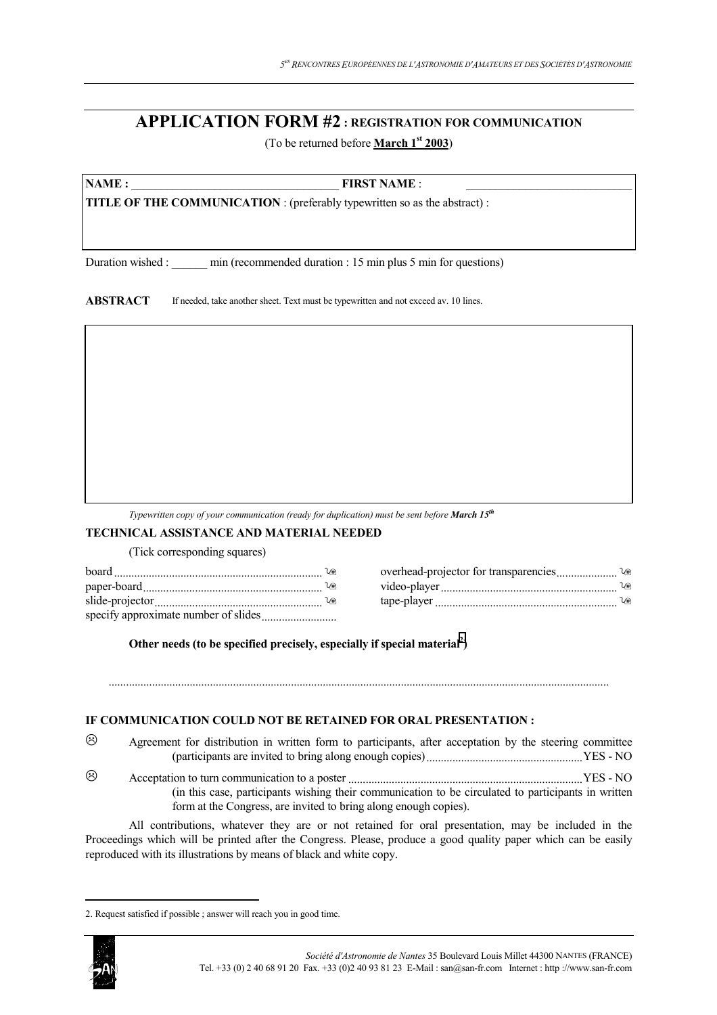# **APPLICATION FORM #2 : REGISTRATION FOR COMMUNICATION**

(To be returned before **March 1st 2003**)

**NAME : FIRST NAME** :

**TITLE OF THE COMMUNICATION** : (preferably typewritten so as the abstract) :

Duration wished : \_\_\_\_\_ min (recommended duration : 15 min plus 5 min for questions)

**ABSTRACT** If needed, take another sheet. Text must be typewritten and not exceed av. 10 lines.

*Typewritten copy of your communication (ready for duplication) must be sent before March 15<sup>th</sup>* 

# **TECHNICAL ASSISTANCE AND MATERIAL NEEDED**

(Tick corresponding squares)

| board                                | ທ  | overhead-projector for transparencies | าค    |
|--------------------------------------|----|---------------------------------------|-------|
| paper-board                          | U® | video-player                          | l / G |
| slide-projector                      | u⊜ | tape-player                           | ທ     |
| specify approximate number of slides |    |                                       |       |

Other needs (to be specified precisely, especially if special material<sup>2</sup>)

# **IF COMMUNICATION COULD NOT BE RETAINED FOR ORAL PRESENTATION :**

 Agreement for distribution in written form to participants, after acceptation by the steering committee (participants are invited to bring along enough copies)......................................................YES - NO

.............................................................................................................................................................................

 Acceptation to turn communication to a poster .................................................................................YES - NO (in this case, participants wishing their communication to be circulated to participants in written form at the Congress, are invited to bring along enough copies).

All contributions, whatever they are or not retained for oral presentation, may be included in the Proceedings which will be printed after the Congress. Please, produce a good quality paper which can be easily reproduced with its illustrations by means of black and white copy.

<sup>2.</sup> Request satisfied if possible ; answer will reach you in good time.